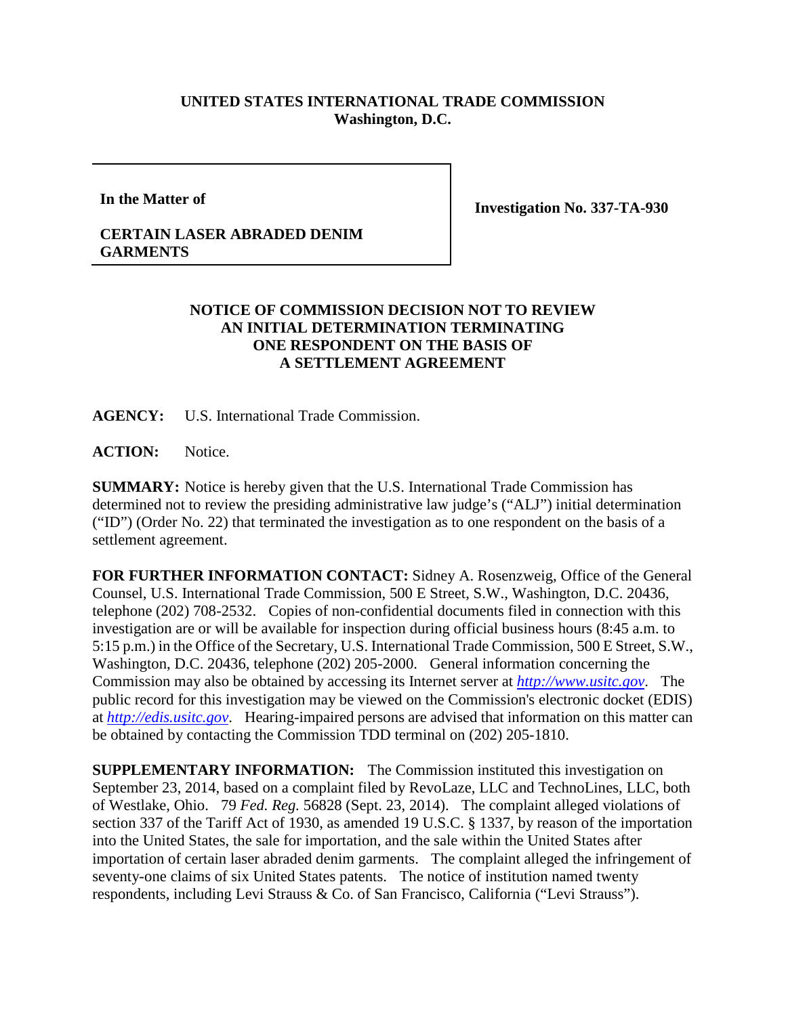## **UNITED STATES INTERNATIONAL TRADE COMMISSION Washington, D.C.**

**In the Matter of**

**Investigation No. 337-TA-930**

## **CERTAIN LASER ABRADED DENIM GARMENTS**

## **NOTICE OF COMMISSION DECISION NOT TO REVIEW AN INITIAL DETERMINATION TERMINATING ONE RESPONDENT ON THE BASIS OF A SETTLEMENT AGREEMENT**

**AGENCY:** U.S. International Trade Commission.

ACTION: Notice.

**SUMMARY:** Notice is hereby given that the U.S. International Trade Commission has determined not to review the presiding administrative law judge's ("ALJ") initial determination ("ID") (Order No. 22) that terminated the investigation as to one respondent on the basis of a settlement agreement.

**FOR FURTHER INFORMATION CONTACT:** Sidney A. Rosenzweig, Office of the General Counsel, U.S. International Trade Commission, 500 E Street, S.W., Washington, D.C. 20436, telephone (202) 708-2532. Copies of non-confidential documents filed in connection with this investigation are or will be available for inspection during official business hours (8:45 a.m. to 5:15 p.m.) in the Office of the Secretary, U.S. International Trade Commission, 500 E Street, S.W., Washington, D.C. 20436, telephone (202) 205-2000. General information concerning the Commission may also be obtained by accessing its Internet server at *[http://www.usitc.gov](http://www.usitc.gov/)*. The public record for this investigation may be viewed on the Commission's electronic docket (EDIS) at *[http://edis.usitc.gov](http://edis.usitc.gov/)*. Hearing-impaired persons are advised that information on this matter can be obtained by contacting the Commission TDD terminal on (202) 205-1810.

**SUPPLEMENTARY INFORMATION:** The Commission instituted this investigation on September 23, 2014, based on a complaint filed by RevoLaze, LLC and TechnoLines, LLC, both of Westlake, Ohio. 79 *Fed. Reg.* 56828 (Sept. 23, 2014). The complaint alleged violations of section 337 of the Tariff Act of 1930, as amended 19 U.S.C. § 1337, by reason of the importation into the United States, the sale for importation, and the sale within the United States after importation of certain laser abraded denim garments. The complaint alleged the infringement of seventy-one claims of six United States patents. The notice of institution named twenty respondents, including Levi Strauss & Co. of San Francisco, California ("Levi Strauss").